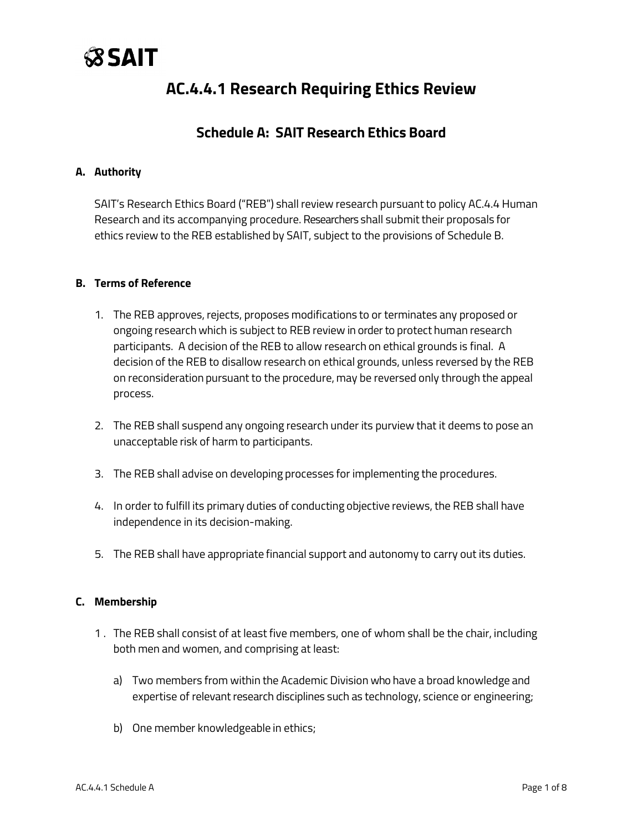# **SSAIT**

## **AC.4.4.1 Research Requiring Ethics Review**

### **Schedule A: SAIT Research Ethics Board**

#### **A. Authority**

SAIT's Research Ethics Board ("REB") shall review research pursuant to policy AC.4.4 Human Research and its accompanying procedure. Researchers shall submit their proposals for ethics review to the REB established by SAIT, subject to the provisions of Schedule B.

#### **B. Terms of Reference**

- 1. The REB approves, rejects, proposes modifications to or terminates any proposed or ongoing research which is subject to REB review in order to protect human research participants. A decision of the REB to allow research on ethical grounds is final. A decision of the REB to disallow research on ethical grounds, unless reversed by the REB on reconsideration pursuant to the procedure, may be reversed only through the appeal process.
- 2. The REB shall suspend any ongoing research under its purview that it deems to pose an unacceptable risk of harm to participants.
- 3. The REB shall advise on developing processes for implementing the procedures.
- 4. In order to fulfill its primary duties of conducting objective reviews, the REB shall have independence in its decision-making.
- 5. The REB shall have appropriate financial support and autonomy to carry out its duties.

#### **C. Membership**

- 1 . The REB shall consist of at least five members, one of whom shall be the chair, including both men and women, and comprising at least:
	- a) Two members from within the Academic Division who have a broad knowledge and expertise of relevant research disciplines such as technology, science or engineering;
	- b) One member knowledgeable in ethics;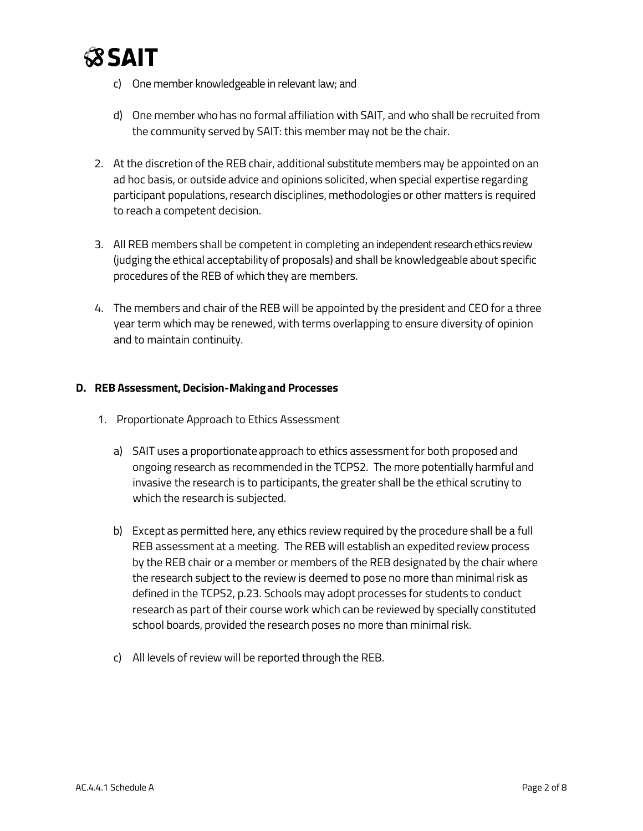

- c) One member knowledgeable in relevant law; and
- d) One member who has no formal affiliation with SAIT, and who shall be recruited from the community served by SAIT: this member may not be the chair.
- 2. At the discretion of the REB chair, additional substitute members may be appointed on an ad hoc basis, or outside advice and opinions solicited, when special expertise regarding participant populations, research disciplines, methodologies or other matters is required to reach a competent decision.
- 3. All REB members shall be competent in completing an independent research ethics review (judging the ethical acceptability of proposals) and shall be knowledgeable about specific procedures of the REB of which they are members.
- 4. The members and chair of the REB will be appointed by the president and CEO for a three year term which may be renewed, with terms overlapping to ensure diversity of opinion and to maintain continuity.

#### **D. REB Assessment,Decision-Makingand Processes**

- 1. Proportionate Approach to Ethics Assessment
	- a) SAIT uses a proportionate approach to ethics assessmentfor both proposed and ongoing research as recommended in the TCPS2. The more potentially harmful and invasive the research is to participants, the greater shall be the ethical scrutiny to which the research is subjected.
	- b) Except as permitted here, any ethics review required by the procedure shall be a full REB assessment at a meeting. The REB will establish an expedited review process by the REB chair or a member or members of the REB designated by the chair where the research subject to the review is deemed to pose no more than minimal risk as defined in the TCPS2, p.23. Schools may adopt processes for students to conduct research as part of their course work which can be reviewed by specially constituted school boards, provided the research poses no more than minimal risk.
	- c) All levels of review will be reported through the REB.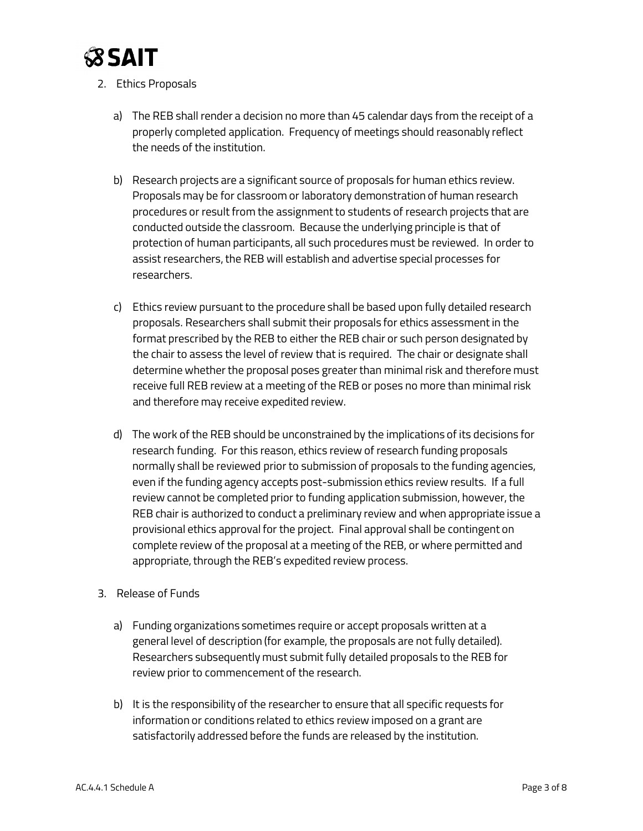

- 2. Ethics Proposals
	- a) The REB shall render a decision no more than 45 calendar days from the receipt of a properly completed application. Frequency of meetings should reasonably reflect the needs of the institution.
	- b) Research projects are a significant source of proposals for human ethics review. Proposals may be for classroom or laboratory demonstration of human research procedures or result from the assignment to students of research projects that are conducted outside the classroom. Because the underlying principle is that of protection of human participants, all such procedures must be reviewed. In order to assist researchers, the REB will establish and advertise special processes for researchers.
	- c) Ethics review pursuant to the procedure shall be based upon fully detailed research proposals. Researchers shall submit their proposals for ethics assessment in the format prescribed by the REB to either the REB chair or such person designated by the chair to assess the level of review that is required. The chair or designate shall determine whether the proposal poses greater than minimal risk and therefore must receive full REB review at a meeting of the REB or poses no more than minimal risk and therefore may receive expedited review.
	- d) The work of the REB should be unconstrained by the implications of its decisions for research funding. For this reason, ethics review of research funding proposals normally shall be reviewed prior to submission of proposals to the funding agencies, even if the funding agency accepts post-submission ethics review results. If a full review cannot be completed prior to funding application submission, however, the REB chair is authorized to conduct a preliminary review and when appropriate issue a provisional ethics approval for the project. Final approval shall be contingent on complete review of the proposal at a meeting of the REB, or where permitted and appropriate, through the REB's expedited review process.
- 3. Release of Funds
	- a) Funding organizations sometimes require or accept proposals written at a general level of description (for example, the proposals are not fully detailed). Researchers subsequently must submit fully detailed proposals to the REB for review prior to commencement of the research.
	- b) It is the responsibility of the researcher to ensure that all specific requests for information or conditions related to ethics review imposed on a grant are satisfactorily addressed before the funds are released by the institution.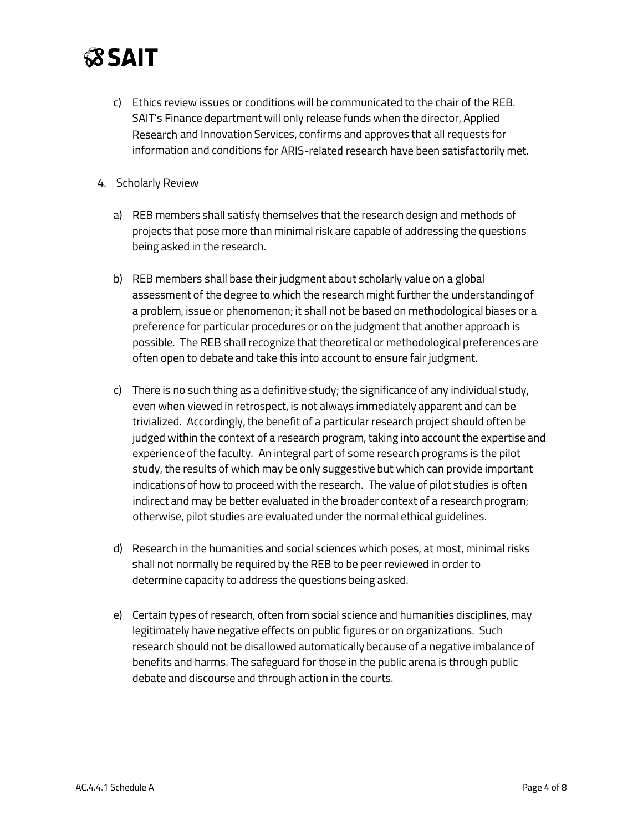

- c) Ethics review issues or conditions will be communicated to the chair of the REB. SAIT's Finance department will only release funds when the director, Applied Research and Innovation Services, confirms and approves that all requests for information and conditions for ARIS-related research have been satisfactorily met.
- 4. Scholarly Review
	- a) REB members shall satisfy themselves that the research design and methods of projects that pose more than minimal risk are capable of addressing the questions being asked in the research.
	- b) REB members shall base their judgment about scholarly value on a global assessment of the degree to which the research might further the understanding of a problem, issue or phenomenon; it shall not be based on methodological biases or a preference for particular procedures or on the judgment that another approach is possible. The REB shall recognize that theoretical or methodological preferences are often open to debate and take this into account to ensure fair judgment.
	- c) There is no such thing as a definitive study; the significance of any individual study, even when viewed in retrospect, is not always immediately apparent and can be trivialized. Accordingly, the benefit of a particular research project should often be judged within the context of a research program, taking into account the expertise and experience of the faculty. An integral part of some research programs is the pilot study, the results of which may be only suggestive but which can provide important indications of how to proceed with the research. The value of pilot studies is often indirect and may be better evaluated in the broader context of a research program; otherwise, pilot studies are evaluated under the normal ethical guidelines.
	- d) Research in the humanities and social sciences which poses, at most, minimal risks shall not normally be required by the REB to be peer reviewed in order to determine capacity to address the questions being asked.
	- e) Certain types of research, often from social science and humanities disciplines, may legitimately have negative effects on public figures or on organizations. Such research should not be disallowed automatically because of a negative imbalance of benefits and harms. The safeguard for those in the public arena is through public debate and discourse and through action in the courts.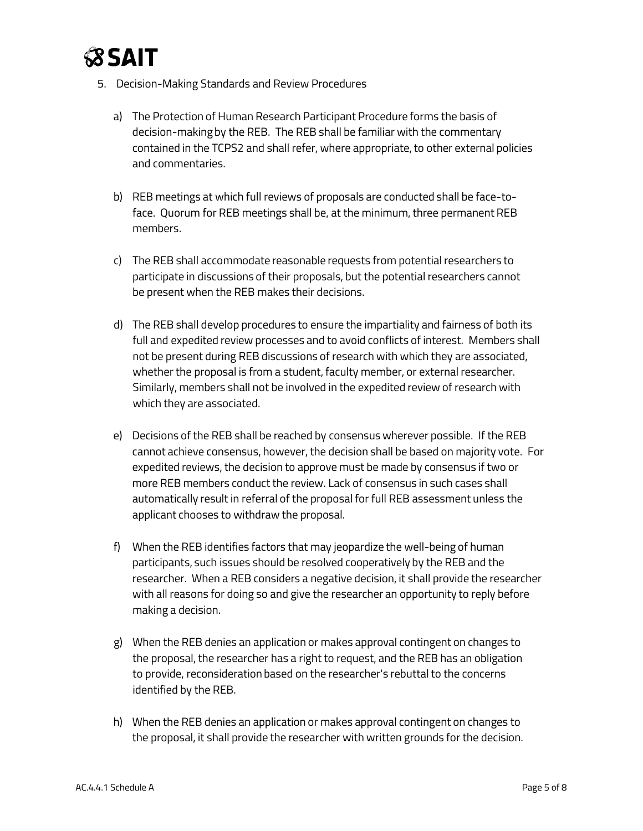

- 5. Decision-Making Standards and Review Procedures
	- a) The Protection of Human Research Participant Procedure forms the basis of decision-making by the REB. The REB shall be familiar with the commentary contained in the TCPS2 and shall refer, where appropriate, to other external policies and commentaries.
	- b) REB meetings at which full reviews of proposals are conducted shall be face-toface. Quorum for REB meetings shall be, at the minimum, three permanent REB members.
	- c) The REB shall accommodate reasonable requests from potential researchers to participate in discussions of their proposals, but the potential researchers cannot be present when the REB makes their decisions.
	- d) The REB shall develop procedures to ensure the impartiality and fairness of both its full and expedited review processes and to avoid conflicts of interest. Members shall not be present during REB discussions of research with which they are associated, whether the proposal is from a student, faculty member, or external researcher. Similarly, members shall not be involved in the expedited review of research with which they are associated.
	- e) Decisions of the REB shall be reached by consensus wherever possible. If the REB cannot achieve consensus, however, the decision shall be based on majority vote. For expedited reviews, the decision to approve must be made by consensus if two or more REB members conduct the review. Lack of consensus in such cases shall automatically result in referral of the proposal for full REB assessment unless the applicant chooses to withdraw the proposal.
	- f) When the REB identifies factors that may jeopardize the well-being of human participants, such issues should be resolved cooperatively by the REB and the researcher. When a REB considers a negative decision, it shall provide the researcher with all reasons for doing so and give the researcher an opportunity to reply before making a decision.
	- g) When the REB denies an application or makes approval contingent on changes to the proposal, the researcher has a right to request, and the REB has an obligation to provide, reconsideration based on the researcher's rebuttal to the concerns identified by the REB.
	- h) When the REB denies an application or makes approval contingent on changes to the proposal, it shall provide the researcher with written grounds for the decision.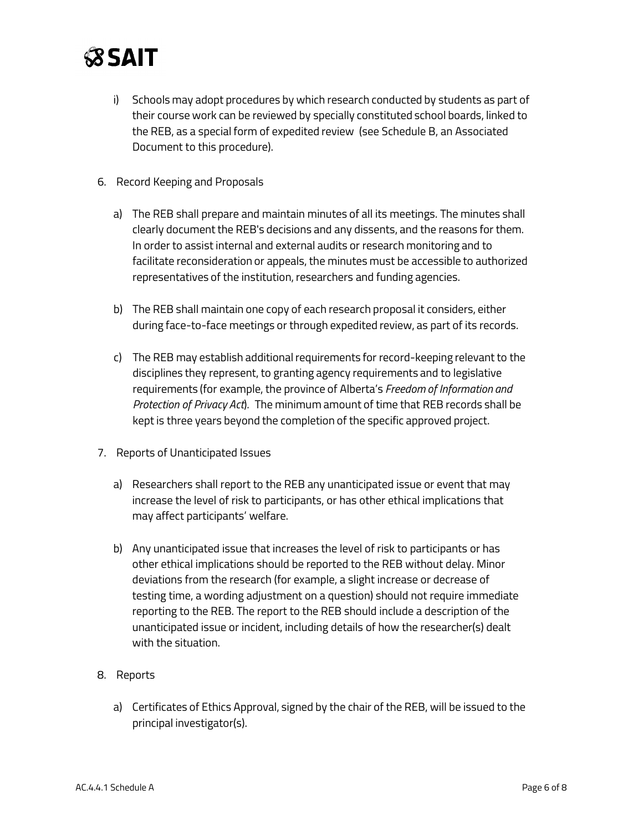

- i) Schools may adopt procedures by which research conducted by students as part of their course work can be reviewed by specially constituted school boards, linked to the REB, as a special form of expedited review (see Schedule B, an Associated Document to this procedure).
- 6. Record Keeping and Proposals
	- a) The REB shall prepare and maintain minutes of all its meetings. The minutes shall clearly document the REB's decisions and any dissents, and the reasons for them. In order to assist internal and external audits or research monitoring and to facilitate reconsideration or appeals, the minutes must be accessible to authorized representatives of the institution, researchers and funding agencies.
	- b) The REB shall maintain one copy of each research proposal it considers, either during face-to-face meetings or through expedited review, as part of its records.
	- c) The REB may establish additional requirements for record-keeping relevant to the disciplines they represent, to granting agency requirements and to legislative requirements (for example, the province of Alberta's *Freedom of Information and Protection of Privacy Act*). The minimum amount of time that REB records shall be kept is three years beyond the completion of the specific approved project.
- 7. Reports of Unanticipated Issues
	- a) Researchers shall report to the REB any unanticipated issue or event that may increase the level of risk to participants, or has other ethical implications that may affect participants' welfare.
	- b) Any unanticipated issue that increases the level of risk to participants or has other ethical implications should be reported to the REB without delay. Minor deviations from the research (for example, a slight increase or decrease of testing time, a wording adjustment on a question) should not require immediate reporting to the REB. The report to the REB should include a description of the unanticipated issue or incident, including details of how the researcher(s) dealt with the situation.
- 8. Reports
	- a) Certificates of Ethics Approval, signed by the chair of the REB, will be issued to the principal investigator(s).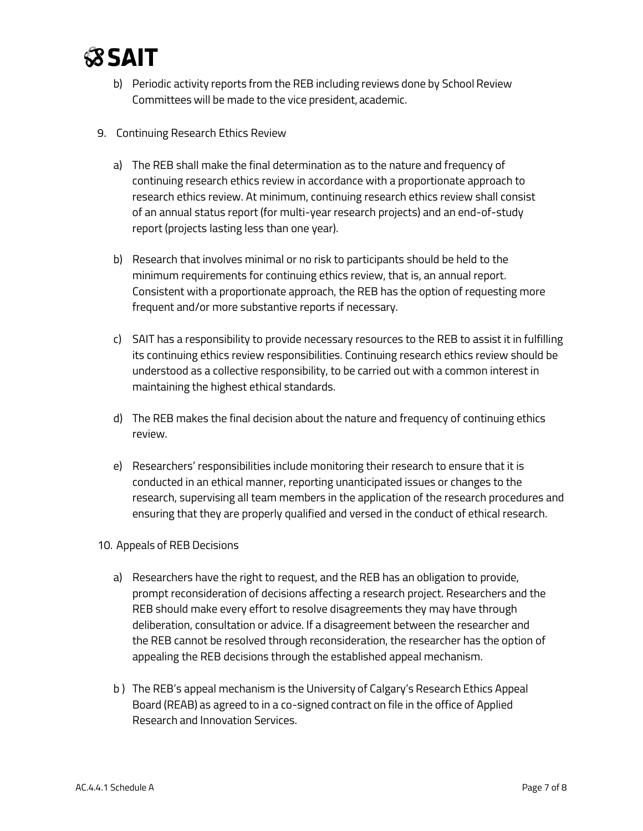

- b) Periodic activity reports from the REB including reviews done by School Review Committees will be made to the vice president, academic.
- 9. Continuing Research Ethics Review
	- a) The REB shall make the final determination as to the nature and frequency of continuing research ethics review in accordance with a proportionate approach to research ethics review. At minimum, continuing research ethics review shall consist of an annual status report (for multi-year research projects) and an end-of-study report (projects lasting less than one year).
	- b) Research that involves minimal or no risk to participants should be held to the minimum requirements for continuing ethics review, that is, an annual report. Consistent with a proportionate approach, the REB has the option of requesting more frequent and/or more substantive reports if necessary.
	- c) SAIT has a responsibility to provide necessary resources to the REB to assist it in fulfilling its continuing ethics review responsibilities. Continuing research ethics review should be understood as a collective responsibility, to be carried out with a common interest in maintaining the highest ethical standards.
	- d) The REB makes the final decision about the nature and frequency of continuing ethics review.
	- e) Researchers' responsibilities include monitoring their research to ensure that it is conducted in an ethical manner, reporting unanticipated issues or changes to the research, supervising all team members in the application of the research procedures and ensuring that they are properly qualified and versed in the conduct of ethical research.
- 10. Appeals of REB Decisions
	- a) Researchers have the right to request, and the REB has an obligation to provide, prompt reconsideration of decisions affecting a research project. Researchers and the REB should make every effort to resolve disagreements they may have through deliberation, consultation or advice. If a disagreement between the researcher and the REB cannot be resolved through reconsideration, the researcher has the option of appealing the REB decisions through the established appeal mechanism.
	- b ) The REB's appeal mechanism is the University of Calgary's Research Ethics Appeal Board (REAB) as agreed to in a co-signed contract on file in the office of Applied Research and Innovation Services.